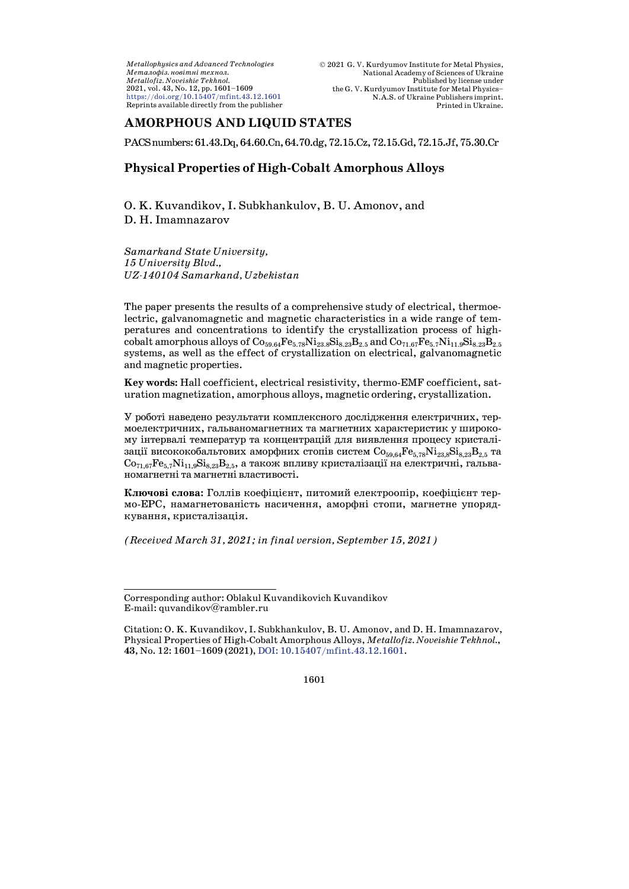*Metallophysics and Advanced Technologies Ìåòàëîôіç. íîâіòíі òåõíîë. Metallofiz. Noveishie Tekhnol.* 2021, vol. 43, No. 12, pp. 1601–1609 <https://doi.org/10.15407/mfint.43.12.1601> Reprints available directly from the publisher

# **AMORPHOUS AND LIQUID STATES**

PACSnumbers:61.43.Dq,64.60.Cn,64.70.dg,72.15.Cz,72.15.Gd,72.15.Jf,75.30.Cr

# **Physical Properties of High-Cobalt Amorphous Alloys**

O. K. Kuvandikov, [I](#page-0-0). Subkhankulov, B. U. Amonov, and D. H. Imamnazarov

*Samarkand State University, 15 University Blvd., UZ-140104 Samarkand, Uzbekistan*

The paper presents the results of a comprehensive study of electrical, thermoelectric, galvanomagnetic and magnetic characteristics in a wide range of temperatures and concentrations to identify the crystallization process of highcobalt amorphous alloys of  $Co_{59.64}Fe_{5.78}Ni_{23.8}Si_{8.23}B_{2.5}$  and  $Co_{71.67}Fe_{5.7}Ni_{11.9}Si_{8.23}B_{2.5}$ systems, as well as the effect of crystallization on electrical, galvanomagnetic and magnetic properties.

**Key words:** Hall coefficient, electrical resistivity, thermo-EMF coefficient, saturation magnetization, amorphous alloys, magnetic ordering, crystallization.

У роботі наведено результати комплексного дослідження електричних, термоелектричних, гальваномагнетних та магнетних характеристик у широкому інтервалі температур та концентрацій для виявлення процесу кристалізації висококобальтових аморфних стопів систем  $Co_{59,64}Fe_{5,78}Ni_{23,8}Si_{8,23}B_{2,5}$  та  $Co_{71.67}Fe_{5.7}Ni_{11.9}Si_{8.23}B_{2.5}$ , а також впливу кристалізації на електричні, гальваномагнетні та магнетні властивості.

**Ключові слова:** Голлів коефіцієнт, питомий електроопір, коефіцієнт термо-ЕРС, намагнетованість насичення, аморфні стопи, магнетне упорядкування, кристалізація.

*(Received March 31, 2021; in final version, September 15, 2021)*

<span id="page-0-0"></span>Corresponding author: Oblakul Kuvandikovich Kuvandikov E-mail: [quvandikov@rambler.ru](mailto:quvandikov@rambler.ru)

Citation: O. K. Kuvandikov, I. Subkhankulov, B. U. Amonov, and D. H. Imamnazarov, Physical Properties of High-Cobalt Amorphous Alloys, *Metallofiz. Noveishie Tekhnol.*, **43**, No. 12: 1601–1609 (2021), DOI: [10.15407/mfint.43.12.1601.](https://doi.org/10.15407/mfint.43.12.1601)

<sup>1601</sup>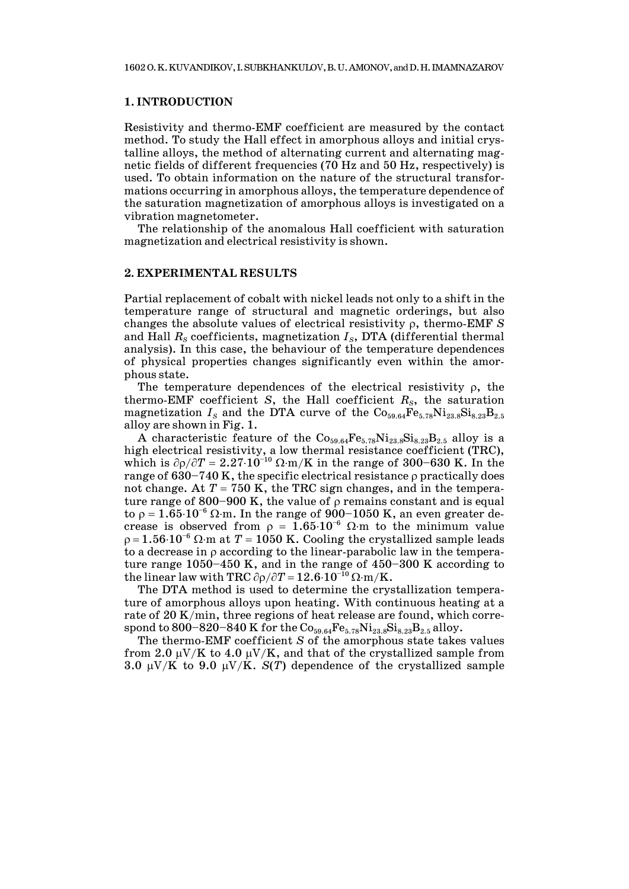### **1. INTRODUCTION**

Resistivity and thermo-EMF coefficient are measured by the contact method. To study the Hall effect in amorphous alloys and initial crystalline alloys, the method of alternating current and alternating magnetic fields of different frequencies (70 Hz and 50 Hz, respectively) is used. To obtain information on the nature of the structural transformations occurring in amorphous alloys, the temperature dependence of the saturation magnetization of amorphous alloys is investigated on a vibration magnetometer.

The relationship of the anomalous Hall coefficient with saturation magnetization and electrical resistivity is shown.

#### **2. EXPERIMENTAL RESULTS**

Partial replacement of cobalt with nickel leads not only to a shift in the temperature range of structural and magnetic orderings, but also changes the absolute values of electrical resistivity ρ, thermo-EMF *S* and Hall  $R_S$  coefficients, magnetization  $I_S$ , DTA (differential thermal analysis). In this case, the behaviour of the temperature dependences of physical properties changes significantly even within the amorphous state.

The temperature dependences of the electrical resistivity  $\rho$ , the thermo-EMF coefficient *S*, the Hall coefficient  $R<sub>S</sub>$ , the saturation magnetization  $I_s$  and the DTA curve of the  $Co_{59.64}Fe_{5.78}Ni_{23.8}Si_{8.23}B_{2.5}$ alloy are shown in Fig. 1.

A characteristic feature of the  $Co_{59.64}Fe_{5.78}Ni_{23.8}Si_{8.23}B_{2.5}$  alloy is a high electrical resistivity, a low thermal resistance coefficient (TRC), which is  $\partial \rho / \partial T = 2.27 \cdot 10^{-10} \Omega \cdot m/K$  in the range of 300–630 K. In the range of  $630-740$  K, the specific electrical resistance  $\rho$  practically does not change. At  $T = 750$  K, the TRC sign changes, and in the temperature range of 800–900 K, the value of  $\rho$  remains constant and is equal to ρ = 1.65⋅10<sup>-6</sup> Ω⋅m. In the range of 900–1050 K, an even greater decrease is observed from  $\rho = 1.65 \cdot 10^{-6}$  Ω⋅m to the minimum value  $\rho = 1.56 \cdot 10^{-6}$  Ω⋅m at  $T = 1050$  K. Cooling the crystallized sample leads to a decrease in ρ according to the linear-parabolic law in the temperature range 1050–450 K, and in the range of 450–300 K according to the linear law with TRC  $\partial \rho / \partial T = 12.6 \cdot 10^{-10} \Omega \cdot m/K$ .

The DTA method is used to determine the crystallization temperature of amorphous alloys upon heating. With continuous heating at a rate of 20 K/min, three regions of heat release are found, which correspond to 800–820–840 K for the  $Co_{59.64}Fe_{5.78}Ni_{23.8}Si_{8.23}B_{2.5}$  alloy.

The thermo-EMF coefficient *S* of the amorphous state takes values from 2.0  $\mu$ V/K to 4.0  $\mu$ V/K, and that of the crystallized sample from 3.0 µV/K to 9.0 µV/K. *S*(*T*) dependence of the crystallized sample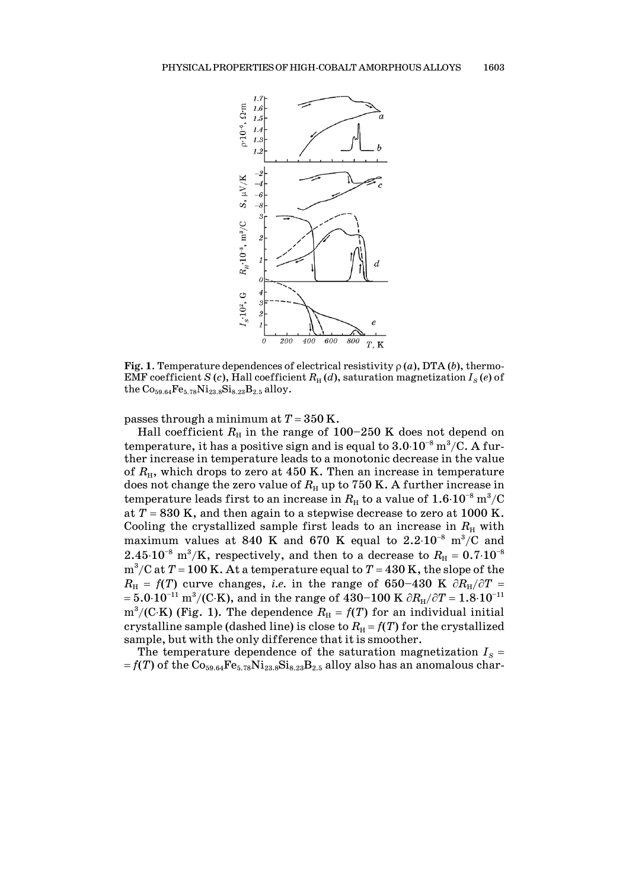

**Fig. 1**. Temperature dependences of electrical resistivity  $\rho(a)$ , DTA (*b*), thermo-EMF coefficient *S* (*c*), Hall coefficient  $R_H(d)$ , saturation magnetization  $I_S(e)$  of the  $Co_{59.64}Fe_{5.78}Ni_{23.8}Si_{8.23}B_{2.5}$  alloy.

passes through a minimum at *T* = 350 K.

Hall coefficient  $R_H$  in the range of  $100-250$  K does not depend on temperature, it has a positive sign and is equal to  $3.0\cdot10^{-8}$  m<sup>3</sup>/C. A further increase in temperature leads to a monotonic decrease in the value of  $R_{\rm H}$ , which drops to zero at 450 K. Then an increase in temperature does not change the zero value of  $R_H$  up to 750 K. A further increase in  $\emph{temperature leads first to an increase in $R_{\rm H}$ to a value of $1.6\cdot 10^{-8}$ m^3/C}$$ at  $T = 830$  K, and then again to a stepwise decrease to zero at 1000 K. Cooling the crystallized sample first leads to an increase in  $R<sub>H</sub>$  with maximum values at 840 K and 670 K equal to  $2.2 \cdot 10^{-8}$  m<sup>3</sup>/C and  $2.45 \cdot 10^{-8}$  m<sup>3</sup>/K, respectively, and then to a decrease to  $R_{\rm H} = 0.7 \cdot 10^{-8}$ m<sup>3</sup>/C at  $T$  = 100 K. At a temperature equal to  $T$  = 430 K, the slope of the  $R_{\text{H}}$  = *f*(*T*) curve changes, *i.e.* in the range of 650–430 K  $\partial R_{\text{H}}/\partial T$  =  $= 5.0\cdot 10^{-11} \text{ m}^3/(\text{C} \cdot \text{K})$ , and in the range of  $430–100 \text{ K } \partial R_{\text{H}}/ \partial T = 1.8\cdot 10^{-11}$  $\rm m^3/(C\cdot K)$  (Fig. 1). The dependence  $R_{\rm H}$  =  $f(T)$  for an individual initial crystalline sample (dashed line) is close to  $R<sub>H</sub> = f(T)$  for the crystallized sample, but with the only difference that it is smoother.

The temperature dependence of the saturation magnetization  $I_s$  =  $= f(T)$  of the  $Co<sub>59.64</sub>Fe<sub>5.78</sub>Ni<sub>23.8</sub>Si<sub>8.23</sub>B<sub>2.5</sub>$  alloy also has an anomalous char-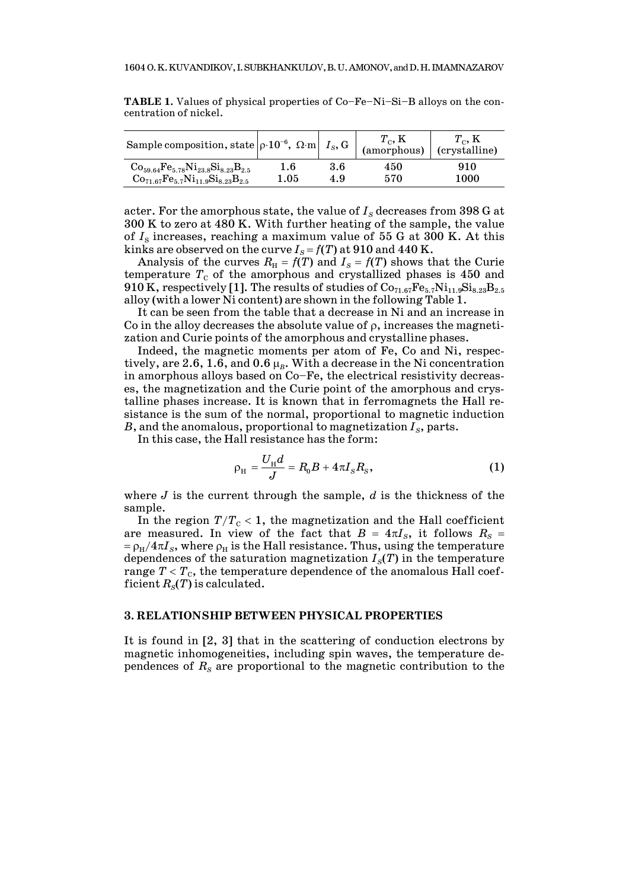| Sample composition, state $\rho \cdot 10^{-6}$ , $\Omega \cdot m   I_S$ , G |          |     | $\frac{1}{2}$ (amorphous) (crystalline) | $T_c$ , K |
|-----------------------------------------------------------------------------|----------|-----|-----------------------------------------|-----------|
| $\rm{Co}_{59.64}\rm{Fe}_{5.78}\rm{Ni}_{23.8}\rm{Si}_{8.23}\rm{B}_{2.5}$     | 1.6      | 3.6 | 450                                     | 910       |
| $Co_{71.67}Fe_{5.7}Ni_{11.9}Si_{8.23}B_{2.5}$                               | $1.05\,$ | 4.9 | 570                                     | 1000      |

**TABLE 1.** Values of physical properties of Co–Fe–Ni–Si–B alloys on the concentration of nickel.

acter. For the amorphous state, the value of  $I<sub>S</sub>$  decreases from 398 G at 300 K to zero at 480 K. With further heating of the sample, the value of  $I<sub>S</sub>$  increases, reaching a maximum value of 55 G at 300 K. At this kinks are observed on the curve  $I_s = f(T)$  at 910 and 440 K.

Analysis of the curves  $R<sub>H</sub> = f(T)$  and  $I<sub>S</sub> = f(T)$  shows that the Curie temperature  $T_c$  of the amorphous and crystallized phases is 450 and 910 K, respectively [1]. The results of studies of  $Co_{71.67}Fe_{5.7}Ni_{11.9}Si_{8.23}B_{2.5}$ alloy (with a lower Ni content) are shown in the following Table 1.

It can be seen from the table that a decrease in Ni and an increase in Co in the alloy decreases the absolute value of  $\rho$ , increases the magnetization and Curie points of the amorphous and crystalline phases.

Indeed, the magnetic moments per atom of Fe, Co and Ni, respectively, are 2.6, 1.6, and  $0.6 \mu_B$ . With a decrease in the Ni concentration in amorphous alloys based on Co–Fe, the electrical resistivity decreases, the magnetization and the Curie point of the amorphous and crystalline phases increase. It is known that in ferromagnets the Hall resistance is the sum of the normal, proportional to magnetic induction  $B$ , and the anomalous, proportional to magnetization  $I<sub>S</sub>$ , parts.

In this case, the Hall resistance has the form:

$$
\rho_{\rm H} = \frac{U_{\rm H} d}{J} = R_0 B + 4\pi I_s R_s, \qquad (1)
$$

where *J* is the current through the sample, *d* is the thickness of the sample.

In the region  $T/T_c < 1$ , the magnetization and the Hall coefficient are measured. In view of the fact that  $B = 4\pi I_s$ , it follows  $R_s =$  $= \rho_H/4\pi I_s$ , where  $\rho_H$  is the Hall resistance. Thus, using the temperature dependences of the saturation magnetization  $I<sub>s</sub>(T)$  in the temperature range  $T < T_c$ , the temperature dependence of the anomalous Hall coefficient  $R_s(T)$  is calculated.

#### **3. RELATIONSHIP BETWEEN PHYSICAL PROPERTIES**

It is found in [2, 3] that in the scattering of conduction electrons by magnetic inhomogeneities, including spin waves, the temperature dependences of  $R<sub>s</sub>$  are proportional to the magnetic contribution to the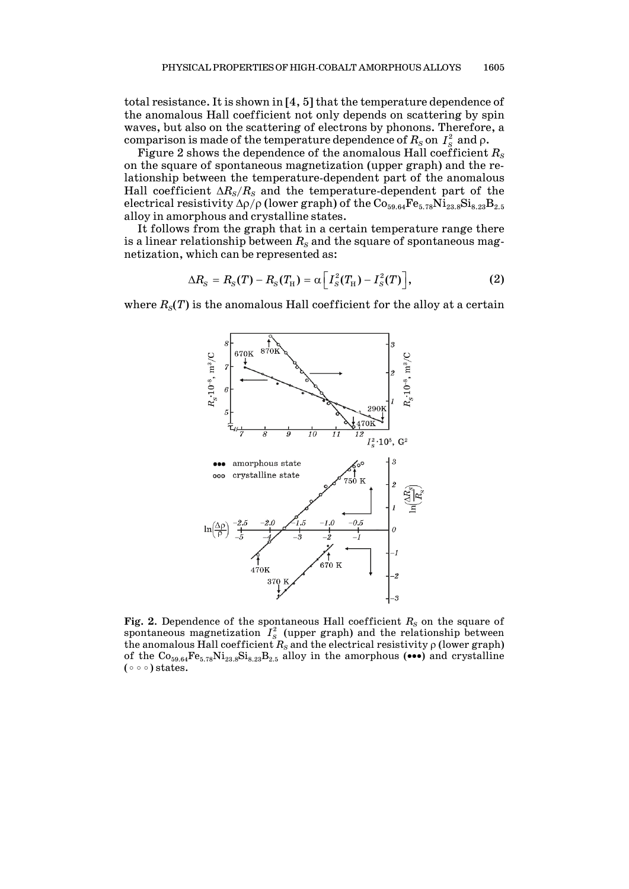total resistance.It is shown in [4, 5] that the temperature dependence of the anomalous Hall coefficient not only depends on scattering by spin waves, but also on the scattering of electrons by phonons. Therefore, a comparison is made of the temperature dependence of  $R_S$  on  $I_S^2$  and  $\rho$ .

Figure 2 shows the dependence of the anomalous Hall coefficient  $R<sub>S</sub>$ on the square of spontaneous magnetization (upper graph) and the relationship between the temperature-dependent part of the anomalous Hall coefficient  $\Delta R_s/R_s$  and the temperature-dependent part of the electrical resistivity  $\Delta\rho/\rho$  (lower graph) of the  $\rm{Co}_{59.64}Fe_{5.78}Ni_{23.8}Si_{8.23}B_{2.5}$ alloy in amorphous and crystalline states.

It follows from the graph that in a certain temperature range there is a linear relationship between  $R<sub>S</sub>$  and the square of spontaneous magnetization, which can be represented as:

$$
\Delta R_{\rm s}=R_{\rm s}(T)-R_{\rm s}(T_{\rm H})=\alpha\left[I_{\rm s}^2(T_{\rm H})-I_{\rm s}^2(T)\right],\qquad \qquad (2)
$$

where  $R_s(T)$  is the anomalous Hall coefficient for the alloy at a certain



**Fig.** 2. Dependence of the spontaneous Hall coefficient  $R_s$  on the square of spontaneous magnetization  $I_{S}^{2}$  (upper graph) and the relationship between the anomalous Hall coefficient  $R_{\scriptscriptstyle S}$  and the electrical resistivity  $\rho$  (lower graph) of the  $Co_{59.64}Fe_{5.78}Ni_{23.8}Si_{8.23}B_{2.5}$  alloy in the amorphous (•••) and crystalline ( $\circ \circ$ ) states.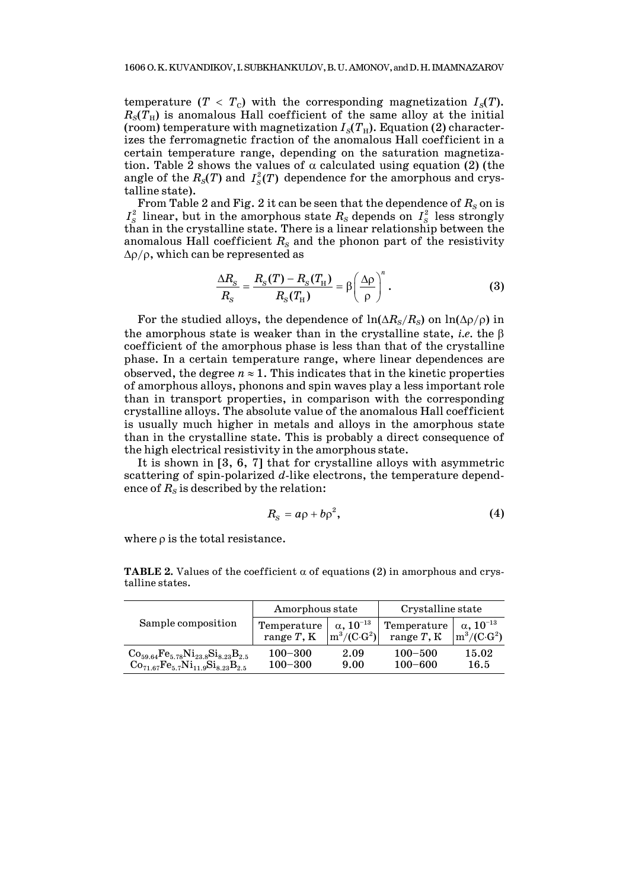temperature  $(T < T_c)$  with the corresponding magnetization  $I_s(T)$ .  $R<sub>S</sub>(T<sub>H</sub>)$  is anomalous Hall coefficient of the same alloy at the initial (room) temperature with magnetization  $I_S(T_H)$ . Equation (2) characterizes the ferromagnetic fraction of the anomalous Hall coefficient in a certain temperature range, depending on the saturation magnetization. Table 2 shows the values of  $\alpha$  calculated using equation (2) (the angle of the  $R_S(T)$  and  $I_S^2(T)$  dependence for the amorphous and crystalline state).

From Table 2 and Fig. 2 it can be seen that the dependence of  $R_S$  on is  $I_S^2$  linear, but in the amorphous state  $R_S$  depends on  $I_S^2$  less strongly than in the crystalline state. There is a linear relationship between the anomalous Hall coefficient  $R<sub>S</sub>$  and the phonon part of the resistivity  $Δρ/ρ$ , which can be represented as

$$
\frac{\Delta R_{\rm s}}{R_{\rm s}} = \frac{R_{\rm s}(T) - R_{\rm s}(T_{\rm H})}{R_{\rm s}(T_{\rm H})} = \beta \left(\frac{\Delta \rho}{\rho}\right)^n.
$$
\n(3)

For the studied alloys, the dependence of  $\ln(\Delta R_s/R_s)$  on  $\ln(\Delta \rho/\rho)$  in the amorphous state is weaker than in the crystalline state, *i.e.* the β coefficient of the amorphous phase is less than that of the crystalline phase. In a certain temperature range, where linear dependences are observed, the degree  $n \approx 1$ . This indicates that in the kinetic properties of amorphous alloys, phonons and spin waves play a less important role than in transport properties, in comparison with the corresponding crystalline alloys. The absolute value of the anomalous Hall coefficient is usually much higher in metals and alloys in the amorphous state than in the crystalline state. This is probably a direct consequence of the high electrical resistivity in the amorphous state.

It is shown in [3, 6, 7] that for crystalline alloys with asymmetric scattering of spin-polarized *d*-like electrons, the temperature dependence of  $R<sub>S</sub>$  is described by the relation:

$$
R_{\rm s}=a\rho+b\rho^2,\qquad \qquad (4)
$$

where ρ is the total resistance.

| Sample composition                                                                              | Amorphous state              |                                              | Crystalline state              |                                                   |  |
|-------------------------------------------------------------------------------------------------|------------------------------|----------------------------------------------|--------------------------------|---------------------------------------------------|--|
|                                                                                                 | Temperature<br>range $T$ , K | $\alpha$ , $10^{-13}$<br>$m^3/(C \cdot G^2)$ | Temperature<br>range $T$ , $K$ | $\alpha$ , $10^{-13}$<br>$\rm{m}^3/(C \cdot G^2)$ |  |
| $Co_{59.64}Fe_{5.78}Ni_{23.8}Si_{8.23}B_{2.5}$<br>$Co_{71.67}Fe_{5.7}Ni_{11.9}Si_{8.23}B_{2.5}$ | $100 - 300$<br>$100 - 300$   | 2.09<br>9.00                                 | $100 - 500$<br>$100 - 600$     | 15.02<br>16.5                                     |  |

**TABLE 2.** Values of the coefficient  $\alpha$  of equations (2) in amorphous and crystalline states.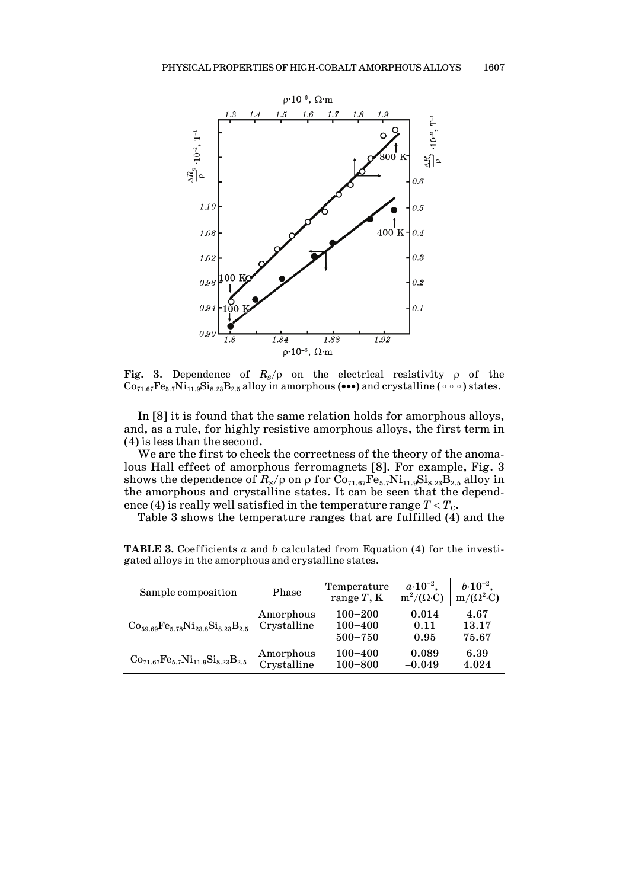

**Fig. 3**. Dependence of  $R_s/\rho$  on the electrical resistivity  $\rho$  of the  $Co_{71.67}Fe_{5.7}Ni_{11.9}Si_{8.23}B_{2.5}$  alloy in amorphous (•••) and crystalline ( $\circ \circ \circ$ ) states.

In [8] it is found that the same relation holds for amorphous alloys, and, as a rule, for highly resistive amorphous alloys, the first term in (4) is less than the second.

We are the first to check the correctness of the theory of the anomalous Hall effect of amorphous ferromagnets [8]. For example, Fig. 3 shows the dependence of  $R_S/\rho$  on  $\rho$  for  $Co_{71.67}Fe_{5.7}Ni_{11.9}Si_{8.23}B_{2.5}$  alloy in the amorphous and crystalline states. It can be seen that the dependence (4) is really well satisfied in the temperature range  $T < T_c$ .

Table 3 shows the temperature ranges that are fulfilled (4) and the

| Sample composition                             | Phase                    | Temperature<br>range $T$ , $K$            | $a \cdot 10^{-2}$ ,<br>$m^2/(\Omega \cdot C)$ | $b \cdot 10^{-2}$ ,<br>$m/(\Omega^2 \cdot C)$ |
|------------------------------------------------|--------------------------|-------------------------------------------|-----------------------------------------------|-----------------------------------------------|
| $Co_{59.69}Fe_{5.78}Ni_{23.8}Si_{8.23}B_{2.5}$ | Amorphous<br>Crystalline | $100 - 200$<br>$100 - 400$<br>$500 - 750$ | $-0.014$<br>$-0.11$<br>$-0.95$                | 4.67<br>13.17<br>75.67                        |
| $Co_{71.67}Fe_{5.7}Ni_{11.9}Si_{8.23}B_{2.5}$  | Amorphous<br>Crystalline | $100 - 400$<br>$100 - 800$                | $-0.089$<br>$-0.049$                          | 6.39<br>4.024                                 |

**TABLE 3.** Coefficients *a* and *b* calculated from Equation (4) for the investigated alloys in the amorphous and crystalline states.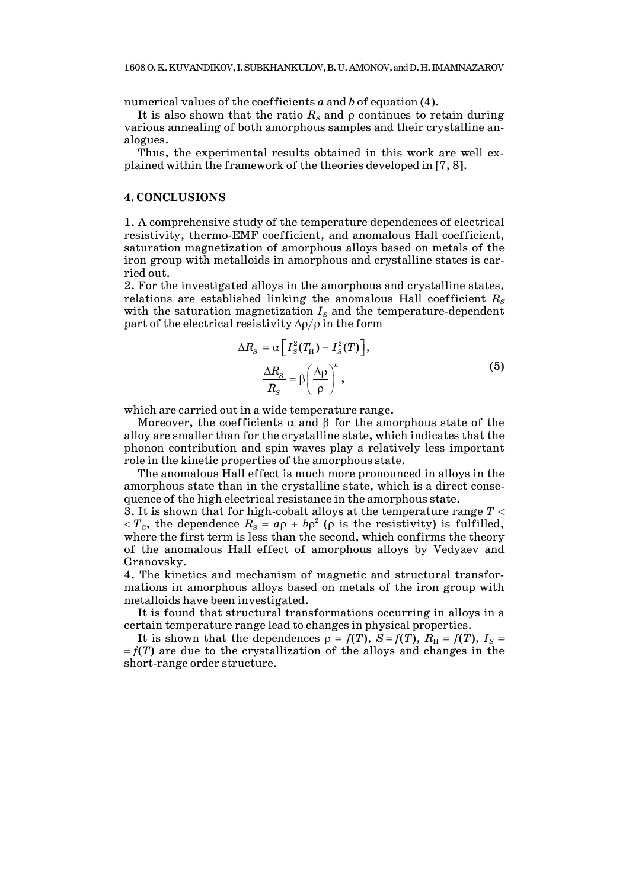numerical values of the coefficients *a* and *b* of equation (4).

It is also shown that the ratio  $R<sub>S</sub>$  and  $\rho$  continues to retain during various annealing of both amorphous samples and their crystalline analogues.

Thus, the experimental results obtained in this work are well explained within the framework of the theories developed in [7, 8].

### **4. CONCLUSIONS**

1. A comprehensive study of the temperature dependences of electrical resistivity, thermo-EMF coefficient, and anomalous Hall coefficient, saturation magnetization of amorphous alloys based on metals of the iron group with metalloids in amorphous and crystalline states is carried out.

2. For the investigated alloys in the amorphous and crystalline states, relations are established linking the anomalous Hall coefficient  $R_s$ with the saturation magnetization  $I<sub>S</sub>$  and the temperature-dependent part of the electrical resistivity  $\Delta \rho / \rho$  in the form

$$
\Delta R_{S} = \alpha \left[ I_{S}^{2}(T_{\rm H}) - I_{S}^{2}(T) \right],
$$
  

$$
\frac{\Delta R_{S}}{R_{S}} = \beta \left( \frac{\Delta \rho}{\rho} \right)^{n},
$$
 (5)

which are carried out in a wide temperature range.

Moreover, the coefficients  $\alpha$  and  $\beta$  for the amorphous state of the alloy are smaller than for the crystalline state, which indicates that the phonon contribution and spin waves play a relatively less important role in the kinetic properties of the amorphous state.

The anomalous Hall effect is much more pronounced in alloys in the amorphous state than in the crystalline state, which is a direct consequence of the high electrical resistance in the amorphous state.

3. It is shown that for high-cobalt alloys at the temperature range *T* <  $\langle T_c, \rangle$  the dependence  $R_s = a\rho + b\rho^2$  ( $\rho$  is the resistivity) is fulfilled, where the first term is less than the second, which confirms the theory of the anomalous Hall effect of amorphous alloys by Vedyaev and Granovsky.

4. The kinetics and mechanism of magnetic and structural transformations in amorphous alloys based on metals of the iron group with metalloids have been investigated.

It is found that structural transformations occurring in alloys in a certain temperature range lead to changes in physical properties.

It is shown that the dependences  $\rho = f(T)$ ,  $S = f(T)$ ,  $R_H = f(T)$ ,  $I_S =$  $= f(T)$  are due to the crystallization of the alloys and changes in the short-range order structure.